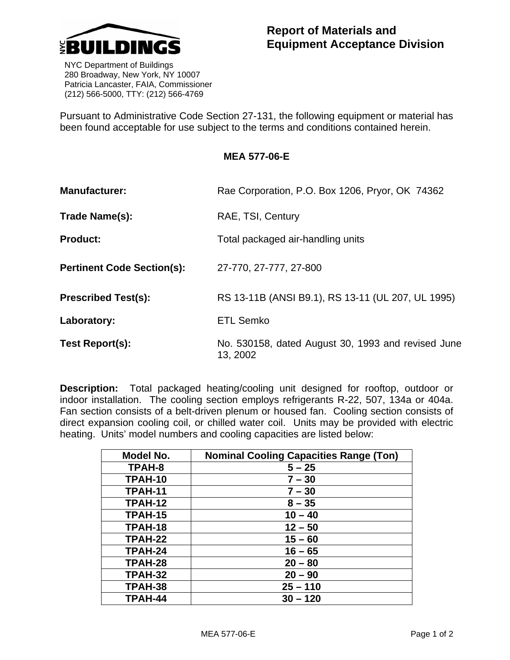

 NYC Department of Buildings 280 Broadway, New York, NY 10007 Patricia Lancaster, FAIA, Commissioner (212) 566-5000, TTY: (212) 566-4769

Pursuant to Administrative Code Section 27-131, the following equipment or material has been found acceptable for use subject to the terms and conditions contained herein.

## **MEA 577-06-E**

| <b>Manufacturer:</b>              | Rae Corporation, P.O. Box 1206, Pryor, OK 74362                |
|-----------------------------------|----------------------------------------------------------------|
| Trade Name(s):                    | RAE, TSI, Century                                              |
| <b>Product:</b>                   | Total packaged air-handling units                              |
| <b>Pertinent Code Section(s):</b> | 27-770, 27-777, 27-800                                         |
| <b>Prescribed Test(s):</b>        | RS 13-11B (ANSI B9.1), RS 13-11 (UL 207, UL 1995)              |
| Laboratory:                       | <b>ETL Semko</b>                                               |
| Test Report(s):                   | No. 530158, dated August 30, 1993 and revised June<br>13, 2002 |

**Description:** Total packaged heating/cooling unit designed for rooftop, outdoor or indoor installation. The cooling section employs refrigerants R-22, 507, 134a or 404a. Fan section consists of a belt-driven plenum or housed fan. Cooling section consists of direct expansion cooling coil, or chilled water coil. Units may be provided with electric heating. Units' model numbers and cooling capacities are listed below:

| Model No.      | <b>Nominal Cooling Capacities Range (Ton)</b> |
|----------------|-----------------------------------------------|
| TPAH-8         | $5 - 25$                                      |
| TPAH-10        | $7 - 30$                                      |
| TPAH-11        | $7 - 30$                                      |
| TPAH-12        | $8 - 35$                                      |
| <b>TPAH-15</b> | $10 - 40$                                     |
| TPAH-18        | $12 - 50$                                     |
| TPAH-22        | $15 - 60$                                     |
| TPAH-24        | $16 - 65$                                     |
| TPAH-28        | $20 - 80$                                     |
| TPAH-32        | $20 - 90$                                     |
| TPAH-38        | $25 - 110$                                    |
| TPAH-44        | $30 - 120$                                    |